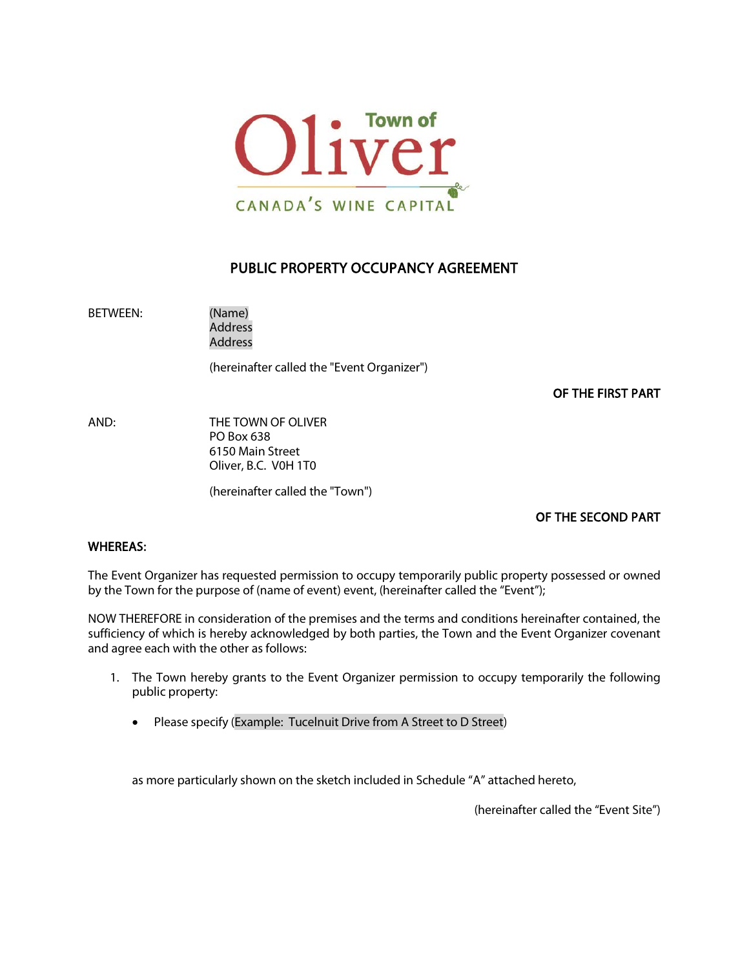

## PUBLIC PROPERTY OCCUPANCY AGREEMENT

BETWEEN: (Name)

Address Address

(hereinafter called the "Event Organizer")

OF THE FIRST PART

AND: THE TOWN OF OLIVER PO Box 638 6150 Main Street Oliver, B.C. V0H 1T0

(hereinafter called the "Town")

## OF THE SECOND PART

## WHEREAS:

The Event Organizer has requested permission to occupy temporarily public property possessed or owned by the Town for the purpose of (name of event) event, (hereinafter called the "Event");

NOW THEREFORE in consideration of the premises and the terms and conditions hereinafter contained, the sufficiency of which is hereby acknowledged by both parties, the Town and the Event Organizer covenant and agree each with the other as follows:

- 1. The Town hereby grants to the Event Organizer permission to occupy temporarily the following public property:
	- Please specify (Example: Tucelnuit Drive from A Street to D Street)

as more particularly shown on the sketch included in Schedule "A" attached hereto,

(hereinafter called the "Event Site")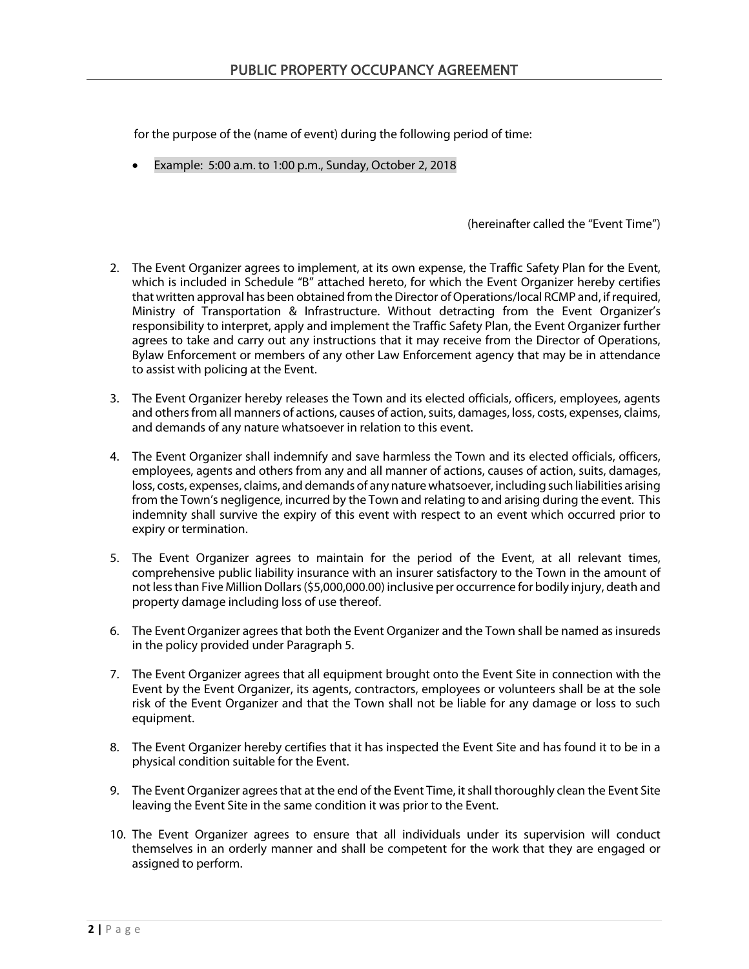for the purpose of the (name of event) during the following period of time:

• Example: 5:00 a.m. to 1:00 p.m., Sunday, October 2, 2018

(hereinafter called the "Event Time")

- 2. The Event Organizer agrees to implement, at its own expense, the Traffic Safety Plan for the Event, which is included in Schedule "B" attached hereto, for which the Event Organizer hereby certifies that written approval has been obtained from the Director of Operations/local RCMP and, if required, Ministry of Transportation & Infrastructure. Without detracting from the Event Organizer's responsibility to interpret, apply and implement the Traffic Safety Plan, the Event Organizer further agrees to take and carry out any instructions that it may receive from the Director of Operations, Bylaw Enforcement or members of any other Law Enforcement agency that may be in attendance to assist with policing at the Event.
- 3. The Event Organizer hereby releases the Town and its elected officials, officers, employees, agents and others from all manners of actions, causes of action, suits, damages, loss, costs, expenses, claims, and demands of any nature whatsoever in relation to this event.
- 4. The Event Organizer shall indemnify and save harmless the Town and its elected officials, officers, employees, agents and others from any and all manner of actions, causes of action, suits, damages, loss, costs, expenses, claims, and demands of any nature whatsoever, including such liabilities arising from the Town's negligence, incurred by the Town and relating to and arising during the event. This indemnity shall survive the expiry of this event with respect to an event which occurred prior to expiry or termination.
- 5. The Event Organizer agrees to maintain for the period of the Event, at all relevant times, comprehensive public liability insurance with an insurer satisfactory to the Town in the amount of not less than Five Million Dollars (\$5,000,000.00) inclusive per occurrence for bodily injury, death and property damage including loss of use thereof.
- 6. The Event Organizer agrees that both the Event Organizer and the Town shall be named as insureds in the policy provided under Paragraph 5.
- 7. The Event Organizer agrees that all equipment brought onto the Event Site in connection with the Event by the Event Organizer, its agents, contractors, employees or volunteers shall be at the sole risk of the Event Organizer and that the Town shall not be liable for any damage or loss to such equipment.
- 8. The Event Organizer hereby certifies that it has inspected the Event Site and has found it to be in a physical condition suitable for the Event.
- 9. The Event Organizer agrees that at the end of the Event Time, it shall thoroughly clean the Event Site leaving the Event Site in the same condition it was prior to the Event.
- 10. The Event Organizer agrees to ensure that all individuals under its supervision will conduct themselves in an orderly manner and shall be competent for the work that they are engaged or assigned to perform.